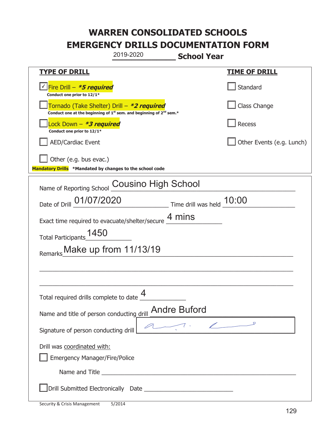| 2019-2020                                                                                                                                                                                                                            | <b>School Year</b>        |
|--------------------------------------------------------------------------------------------------------------------------------------------------------------------------------------------------------------------------------------|---------------------------|
| <u>TYPE OF DRILL</u>                                                                                                                                                                                                                 | <b>TIME OF DRILL</b>      |
| Fire Drill - <i>*5 required</i><br>Conduct one prior to 12/1*                                                                                                                                                                        | Standard                  |
| Tornado (Take Shelter) Drill – *2 required<br>Conduct one at the beginning of $1^{st}$ sem. and beginning of $2^{nd}$ sem.*                                                                                                          | Class Change              |
| Lock Down - *3 required<br>Conduct one prior to 12/1*                                                                                                                                                                                | Recess                    |
| <b>AED/Cardiac Event</b>                                                                                                                                                                                                             | Other Events (e.g. Lunch) |
| Other (e.g. bus evac.)<br>Mandatory Drills *Mandated by changes to the school code                                                                                                                                                   |                           |
| <b>Cousino High School</b><br>Name of Reporting School                                                                                                                                                                               |                           |
| Date of Drill 01/07/2020<br>$\frac{10:00}{\frac{1}{200}}$ Time drill was held $\frac{10:00}{\frac{1}{200}}$                                                                                                                          |                           |
| Exact time required to evacuate/shelter/secure $\frac{4}{10}$ mins                                                                                                                                                                   |                           |
| 1450<br>Total Participants                                                                                                                                                                                                           |                           |
| Make up from 11/13/19<br>Remarks                                                                                                                                                                                                     |                           |
|                                                                                                                                                                                                                                      |                           |
|                                                                                                                                                                                                                                      |                           |
| Total required drills complete to date $\frac{4}{1}$                                                                                                                                                                                 |                           |
| Name and title of person conducting drill <b>Andre Buford</b>                                                                                                                                                                        |                           |
| Signature of person conducting drill                                                                                                                                                                                                 | 7.27                      |
| Drill was coordinated with:<br><b>Emergency Manager/Fire/Police</b>                                                                                                                                                                  |                           |
| Name and Title <b>contract to the contract of the contract of the contract of the contract of the contract of the contract of the contract of the contract of the contract of the contract of the contract of the contract of th</b> |                           |
|                                                                                                                                                                                                                                      |                           |

ı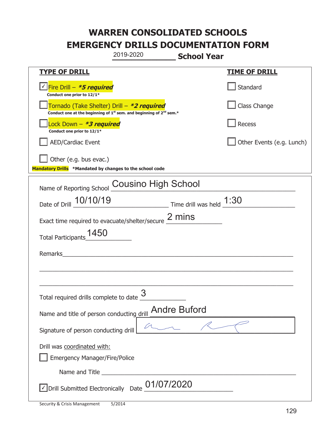| 2019-2020<br><b>School Year</b>                                                                                                           |                           |
|-------------------------------------------------------------------------------------------------------------------------------------------|---------------------------|
| <u>TYPE OF DRILL</u>                                                                                                                      | <b>TIME OF DRILL</b>      |
| <u>√ Fire Drill – <i>*5 required</i></u><br>Conduct one prior to 12/1*                                                                    | Standard                  |
| Tornado (Take Shelter) Drill – *2 required<br>Conduct one at the beginning of 1 <sup>st</sup> sem. and beginning of 2 <sup>nd</sup> sem.* | Class Change              |
| Lock Down - <b><i>*3 required</i></b><br>Conduct one prior to 12/1*                                                                       | Recess                    |
| <b>AED/Cardiac Event</b>                                                                                                                  | Other Events (e.g. Lunch) |
| Other (e.g. bus evac.)<br>Mandatory Drills *Mandated by changes to the school code                                                        |                           |
| <b>Cousino High School</b><br>Name of Reporting School                                                                                    |                           |
| Date of Drill 10/10/19<br>$\frac{1:30}{2}$ Time drill was held $\frac{1:30}{2}$                                                           |                           |
| Exact time required to evacuate/shelter/secure $2$ mins                                                                                   |                           |
| 1450<br>Total Participants                                                                                                                |                           |
| Remarks                                                                                                                                   |                           |
|                                                                                                                                           |                           |
| Total required drills complete to date $\frac{3}{2}$                                                                                      |                           |
| Name and title of person conducting drill <b>Andre Buford</b>                                                                             |                           |
| Signature of person conducting drill                                                                                                      |                           |
| Drill was coordinated with:<br><b>Emergency Manager/Fire/Police</b>                                                                       |                           |
|                                                                                                                                           |                           |
| $\sqrt{\phantom{a}}$ Drill Submitted Electronically Date $\underline{\phantom{a}}01/07/2020$                                              |                           |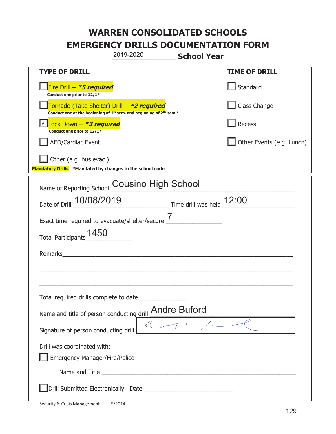| 2019-2020                                                                                                                                 | <b>School Year</b>        |
|-------------------------------------------------------------------------------------------------------------------------------------------|---------------------------|
| <b>TYPE OF DRILL</b>                                                                                                                      | <b>TIME OF DRILL</b>      |
| Fire Drill $-$ <i>*5 required</i><br>Conduct one prior to 12/1*                                                                           | Standard                  |
| Tornado (Take Shelter) Drill – *2 required<br>Conduct one at the beginning of 1 <sup>st</sup> sem. and beginning of 2 <sup>nd</sup> sem.* | Class Change              |
| Lock Down - <b>*3 required</b><br>Conduct one prior to 12/1*                                                                              | Recess                    |
| <b>AED/Cardiac Event</b>                                                                                                                  | Other Events (e.g. Lunch) |
| Other (e.g. bus evac.)<br>Mandatory Drills *Mandated by changes to the school code                                                        |                           |
| Name of Reporting School Cousino High School                                                                                              |                           |
| Date of Drill 10/08/2019 Time drill was held 12:00                                                                                        |                           |
|                                                                                                                                           |                           |
| 1450<br>Total Participants                                                                                                                |                           |
| Remarks<br><u> 1989 - Andrea Andrew Maria (h. 1989).</u>                                                                                  |                           |
|                                                                                                                                           |                           |
| Total required drills complete to date                                                                                                    |                           |
| Name and title of person conducting drill <b>Andre Buford</b>                                                                             |                           |
| Signature of person conducting drill                                                                                                      |                           |
| Drill was coordinated with:<br><b>Emergency Manager/Fire/Police</b>                                                                       |                           |
|                                                                                                                                           |                           |
|                                                                                                                                           |                           |

ı